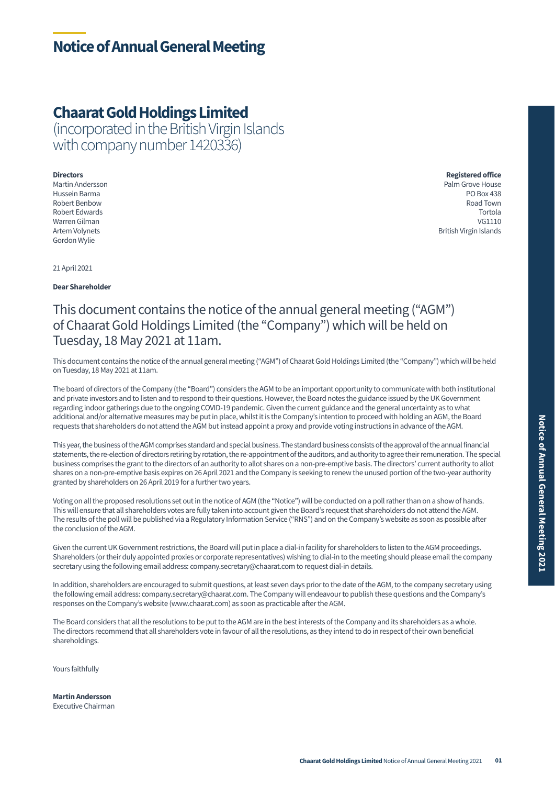## **Chaarat Gold Holdings Limited**

(incorporated in the British Virgin Islands with company number 1420336)

Gordon Wylie

**Directors Registered office**  Martin Andersson Palm Grove House Hussein Barma PO Box 438 Robert Benbow Road Town Robert Edwards Tortola Warren Gilman VG1110 Artem Volynets British Virgin Islands

21 April 2021

**Dear Shareholder** 

## This document contains the notice of the annual general meeting ("AGM") of Chaarat Gold Holdings Limited (the "Company") which will be held on Tuesday, 18 May 2021 at 11am.

This document contains the notice of the annual general meeting ("AGM") of Chaarat Gold Holdings Limited (the "Company") which will be held on Tuesday, 18 May 2021 at 11am.

The board of directors of the Company (the "Board") considers the AGM to be an important opportunity to communicate with both institutional and private investors and to listen and to respond to their questions. However, the Board notes the guidance issued by the UK Government regarding indoor gatherings due to the ongoing COVID-19 pandemic. Given the current guidance and the general uncertainty as to what additional and/or alternative measures may be put in place, whilst it is the Company's intention to proceed with holding an AGM, the Board requests that shareholders do not attend the AGM but instead appoint a proxy and provide voting instructions in advance of the AGM.

This year, the business of the AGM comprises standard and special business. The standard business consists of the approval of the annual financial statements, the re-election of directors retiring by rotation, the re-appointment of the auditors, and authority to agree their remuneration. The special business comprises the grant to the directors of an authority to allot shares on a non-pre-emptive basis. The directors' current authority to allot shares on a non-pre-emptive basis expires on 26 April 2021 and the Company is seeking to renew the unused portion of the two-year authority granted by shareholders on 26 April 2019 for a further two years.

Voting on all the proposed resolutions set out in the notice of AGM (the "Notice") will be conducted on a poll rather than on a show of hands. This will ensure that all shareholders votes are fully taken into account given the Board's request that shareholders do not attend the AGM. The results of the poll will be published via a Regulatory Information Service ("RNS") and on the Company's website as soon as possible after the conclusion of the AGM.

Given the current UK Government restrictions, the Board will put in place a dial-in facility for shareholders to listen to the AGM proceedings. Shareholders (or their duly appointed proxies or corporate representatives) wishing to dial-in to the meeting should please email the company secretary using the following email address: company.secretary@chaarat.com to request dial-in details.

In addition, shareholders are encouraged to submit questions, at least seven days prior to the date of the AGM, to the company secretary using the following email address: company.secretary@chaarat.com. The Company will endeavour to publish these questions and the Company's responses on the Company's website (www.chaarat.com) as soon as practicable after the AGM.

The Board considers that all the resolutions to be put to the AGM are in the best interests of the Company and its shareholders as a whole. The directors recommend that all shareholders vote in favour of all the resolutions, as they intend to do in respect of their own beneficial shareholdings.

Yours faithfully

**Martin Andersson**  Executive Chairman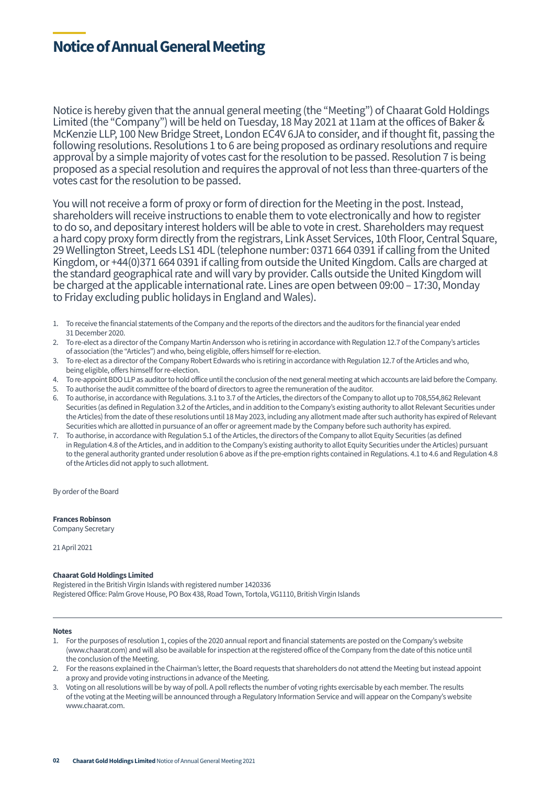## **Notice of Annual General Meeting**

Notice is hereby given that the annual general meeting (the "Meeting") of Chaarat Gold Holdings Limited (the "Company") will be held on Tuesday, 18 May 2021 at 11am at the offices of Baker & McKenzie LLP, 100 New Bridge Street, London EC4V 6JA to consider, and if thought fit, passing the following resolutions. Resolutions 1 to 6 are being proposed as ordinary resolutions and require approval by a simple majority of votes cast for the resolution to be passed. Resolution 7 is being proposed as a special resolution and requires the approval of not less than three-quarters of the votes cast for the resolution to be passed.

You will not receive a form of proxy or form of direction for the Meeting in the post. Instead, shareholders will receive instructions to enable them to vote electronically and how to register to do so, and depositary interest holders will be able to vote in crest. Shareholders may request a hard copy proxy form directly from the registrars, Link Asset Services, 10th Floor, Central Square, 29 Wellington Street, Leeds LS1 4DL (telephone number: 0371 664 0391 if calling from the United Kingdom, or +44(0)371 664 0391 if calling from outside the United Kingdom. Calls are charged at the standard geographical rate and will vary by provider. Calls outside the United Kingdom will be charged at the applicable international rate. Lines are open between 09:00 – 17:30, Monday to Friday excluding public holidays in England and Wales).

- 1. To receive the financial statements of the Company and the reports of the directors and the auditors for the financial year ended 31 December 2020.
- 2. To re-elect as a director of the Company Martin Andersson who is retiring in accordance with Regulation 12.7 of the Company's articles of association (the "Articles") and who, being eligible, offers himself for re-election.
- 3. To re-elect as a director of the Company Robert Edwards who is retiring in accordance with Regulation 12.7 of the Articles and who, being eligible, offers himself for re-election.
- 4. To re-appoint BDO LLP as auditor to hold office until the conclusion of the next general meeting at which accounts are laid before the Company.
- 5. To authorise the audit committee of the board of directors to agree the remuneration of the auditor.
- 6. To authorise, in accordance with Regulations. 3.1 to 3.7 of the Articles, the directors of the Company to allot up to 708,554,862 Relevant Securities (as defined in Regulation 3.2 of the Articles, and in addition to the Company's existing authority to allot Relevant Securities under the Articles) from the date of these resolutions until 18 May 2023, including any allotment made after such authority has expired of Relevant Securities which are allotted in pursuance of an offer or agreement made by the Company before such authority has expired.
- 7. To authorise, in accordance with Regulation 5.1 of the Articles, the directors of the Company to allot Equity Securities (as defined in Regulation 4.8 of the Articles, and in addition to the Company's existing authority to allot Equity Securities under the Articles) pursuant to the general authority granted under resolution 6 above as if the pre-emption rights contained in Regulations. 4.1 to 4.6 and Regulation 4.8 of the Articles did not apply to such allotment.

By order of the Board

**Frances Robinson** 

Company Secretary

21 April 2021

### **Chaarat Gold Holdings Limited**

Registered in the British Virgin Islands with registered number 1420336 Registered Office: Palm Grove House, PO Box 438, Road Town, Tortola, VG1110, British Virgin Islands

#### **Notes**

- 1. For the purposes of resolution 1, copies of the 2020 annual report and financial statements are posted on the Company's website (www.chaarat.com) and will also be available for inspection at the registered office of the Company from the date of this notice until the conclusion of the Meeting.
- 2. For the reasons explained in the Chairman's letter, the Board requests that shareholders do not attend the Meeting but instead appoint a proxy and provide voting instructions in advance of the Meeting.
- 3. Voting on all resolutions will be by way of poll. A poll reflects the number of voting rights exercisable by each member. The results of the voting at the Meeting will be announced through a Regulatory Information Service and will appear on the Company's website www.chaarat.com.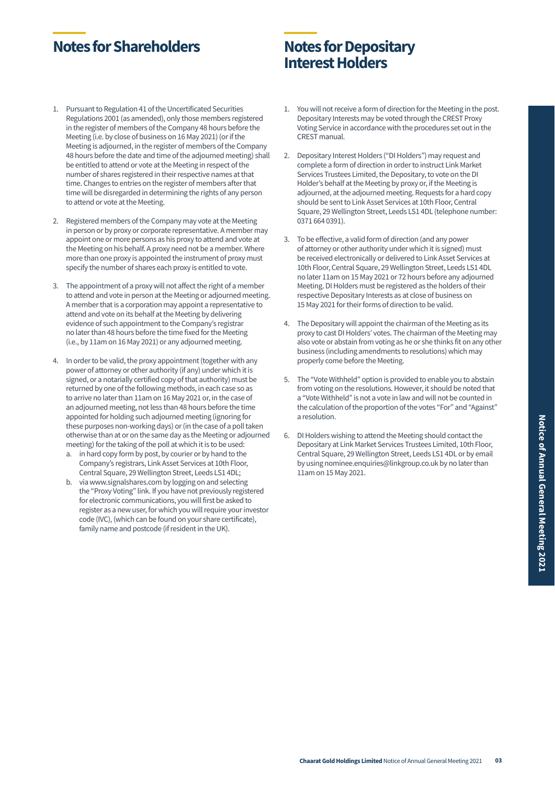## **Notes for Shareholders Notes for Depositary**

# **Interest Holders**

- 1. Pursuant to Regulation 41 of the Uncertificated Securities Regulations 2001 (as amended), only those members registered in the register of members of the Company 48 hours before the Meeting (i.e. by close of business on 16 May 2021) (or if the Meeting is adjourned, in the register of members of the Company 48 hours before the date and time of the adjourned meeting) shall be entitled to attend or vote at the Meeting in respect of the number of shares registered in their respective names at that time. Changes to entries on the register of members after that time will be disregarded in determining the rights of any person to attend or vote at the Meeting.
- 2. Registered members of the Company may vote at the Meeting in person or by proxy or corporate representative. A member may appoint one or more persons as his proxy to attend and vote at the Meeting on his behalf. A proxy need not be a member. Where more than one proxy is appointed the instrument of proxy must specify the number of shares each proxy is entitled to vote.
- 3. The appointment of a proxy will not affect the right of a member to attend and vote in person at the Meeting or adjourned meeting. A member that is a corporation may appoint a representative to attend and vote on its behalf at the Meeting by delivering evidence of such appointment to the Company's registrar no later than 48 hours before the time fixed for the Meeting (i.e., by 11am on 16 May 2021) or any adjourned meeting.
- 4. In order to be valid, the proxy appointment (together with any power of attorney or other authority (if any) under which it is signed, or a notarially certified copy of that authority) must be returned by one of the following methods, in each case so as to arrive no later than 11am on 16 May 2021 or, in the case of an adjourned meeting, not less than 48 hours before the time appointed for holding such adjourned meeting (ignoring for these purposes non-working days) or (in the case of a poll taken otherwise than at or on the same day as the Meeting or adjourned meeting) for the taking of the poll at which it is to be used:
	- a. in hard copy form by post, by courier or by hand to the Company's registrars, Link Asset Services at 10th Floor, Central Square, 29 Wellington Street, Leeds LS1 4DL;
	- b. via www.signalshares.com by logging on and selecting the "Proxy Voting" link. If you have not previously registered for electronic communications, you will first be asked to register as a new user, for which you will require your investor code (IVC), (which can be found on your share certificate), family name and postcode (if resident in the UK).
- 1. You will not receive a form of direction for the Meeting in the post. Depositary Interests may be voted through the CREST Proxy Voting Service in accordance with the procedures set out in the CREST manual.
- 2. Depositary Interest Holders ("DI Holders") may request and complete a form of direction in order to instruct Link Market Services Trustees Limited, the Depositary, to vote on the DI Holder's behalf at the Meeting by proxy or, if the Meeting is adjourned, at the adjourned meeting. Requests for a hard copy should be sent to Link Asset Services at 10th Floor, Central Square, 29 Wellington Street, Leeds LS1 4DL (telephone number: 0371 664 0391).
- 3. To be effective, a valid form of direction (and any power of attorney or other authority under which it is signed) must be received electronically or delivered to Link Asset Services at 10th Floor, Central Square, 29 Wellington Street, Leeds LS1 4DL no later 11am on 15 May 2021 or 72 hours before any adjourned Meeting. DI Holders must be registered as the holders of their respective Depositary Interests as at close of business on 15 May 2021 for their forms of direction to be valid.
- 4. The Depositary will appoint the chairman of the Meeting as its proxy to cast DI Holders' votes. The chairman of the Meeting may also vote or abstain from voting as he or she thinks fit on any other business (including amendments to resolutions) which may properly come before the Meeting.
- 5. The "Vote Withheld" option is provided to enable you to abstain from voting on the resolutions. However, it should be noted that a "Vote Withheld" is not a vote in law and will not be counted in the calculation of the proportion of the votes "For" and "Against" a resolution.
- 6. DI Holders wishing to attend the Meeting should contact the Depositary at Link Market Services Trustees Limited, 10th Floor, Central Square, 29 Wellington Street, Leeds LS1 4DL or by email by using nominee.enquiries@linkgroup.co.uk by no later than 11am on 15 May 2021.